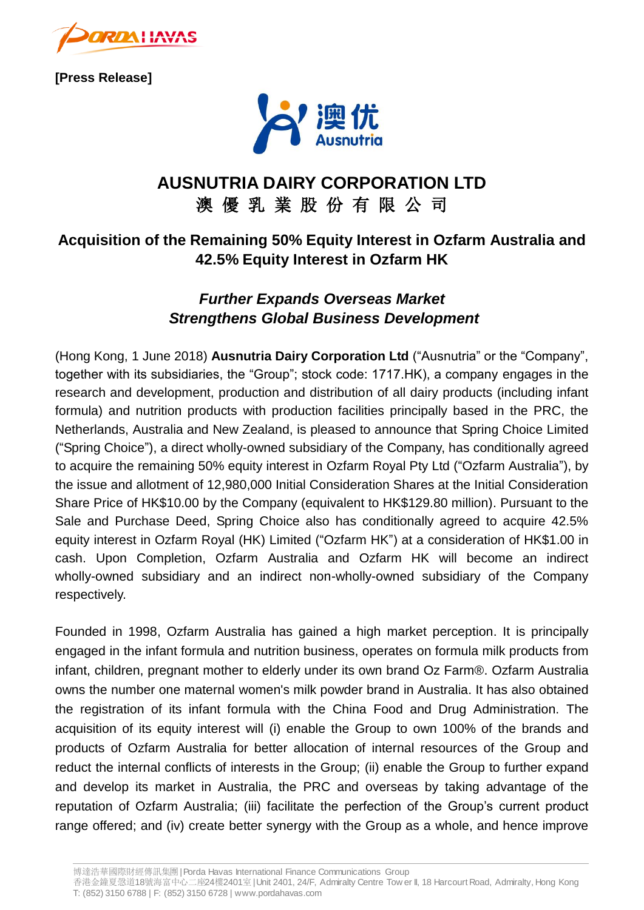

**[Press Release]**



# **AUSNUTRIA DAIRY CORPORATION LTD** 澳 優 乳 業 股 份 有 限 公 司

## **Acquisition of the Remaining 50% Equity Interest in Ozfarm Australia and 42.5% Equity Interest in Ozfarm HK**

## *Further Expands Overseas Market Strengthens Global Business Development*

(Hong Kong, 1 June 2018) **Ausnutria Dairy Corporation Ltd** ("Ausnutria" or the "Company", together with its subsidiaries, the "Group"; stock code: 1717.HK), a company engages in the research and development, production and distribution of all dairy products (including infant formula) and nutrition products with production facilities principally based in the PRC, the Netherlands, Australia and New Zealand, is pleased to announce that Spring Choice Limited ("Spring Choice"), a direct wholly-owned subsidiary of the Company, has conditionally agreed to acquire the remaining 50% equity interest in Ozfarm Royal Pty Ltd ("Ozfarm Australia"), by the issue and allotment of 12,980,000 Initial Consideration Shares at the Initial Consideration Share Price of HK\$10.00 by the Company (equivalent to HK\$129.80 million). Pursuant to the Sale and Purchase Deed, Spring Choice also has conditionally agreed to acquire 42.5% equity interest in Ozfarm Royal (HK) Limited ("Ozfarm HK") at a consideration of HK\$1.00 in cash. Upon Completion, Ozfarm Australia and Ozfarm HK will become an indirect wholly-owned subsidiary and an indirect non-wholly-owned subsidiary of the Company respectively.

Founded in 1998, Ozfarm Australia has gained a high market perception. It is principally engaged in the infant formula and nutrition business, operates on formula milk products from infant, children, pregnant mother to elderly under its own brand Oz Farm®. Ozfarm Australia owns the number one maternal women's milk powder brand in Australia. It has also obtained the registration of its infant formula with the China Food and Drug Administration. The acquisition of its equity interest will (i) enable the Group to own 100% of the brands and products of Ozfarm Australia for better allocation of internal resources of the Group and reduct the internal conflicts of interests in the Group; (ii) enable the Group to further expand and develop its market in Australia, the PRC and overseas by taking advantage of the reputation of Ozfarm Australia; (iii) facilitate the perfection of the Group's current product range offered; and (iv) create better synergy with the Group as a whole, and hence improve

博達浩華國際財經傳訊集團| Porda Havas International Finance Communications Group

香港金鐘夏愨道18號海富中心二座24樓2401<sup>室</sup>| Unit 2401, 24/F, Admiralty Centre Tow er II, 18 Harcourt Road, Admiralty, Hong Kong T: (852) 3150 6788 | F: (852) 3150 6728 | www.pordahavas.com